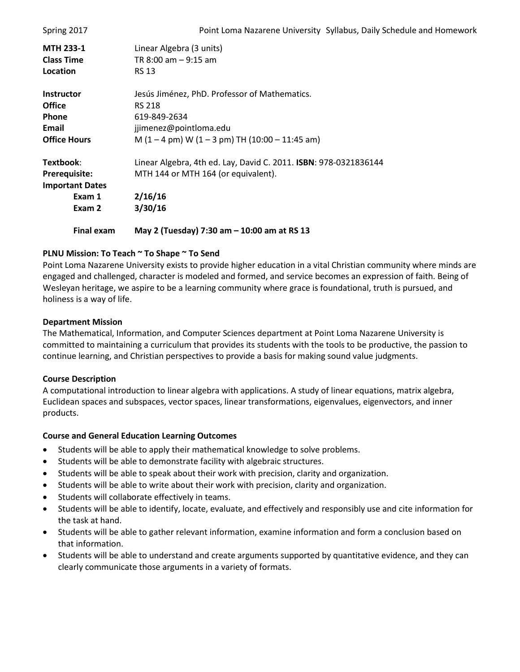| <b>Final exam</b>      | May 2 (Tuesday) 7:30 am - 10:00 am at RS 13                          |
|------------------------|----------------------------------------------------------------------|
| Exam 2                 | 3/30/16                                                              |
| Exam 1                 | 2/16/16                                                              |
| <b>Important Dates</b> |                                                                      |
| Prerequisite:          | MTH 144 or MTH 164 (or equivalent).                                  |
| Textbook:              | Linear Algebra, 4th ed. Lay, David C. 2011. ISBN: 978-0321836144     |
| <b>Office Hours</b>    | M $(1 - 4$ pm) W $(1 - 3$ pm) TH $(10:00 - 11:45)$ am                |
| Email                  | jjimenez@pointloma.edu                                               |
| Phone                  | 619-849-2634                                                         |
| <b>Office</b>          | <b>RS 218</b>                                                        |
| <b>Instructor</b>      | Jesús Jiménez, PhD. Professor of Mathematics.                        |
| Location               | <b>RS 13</b>                                                         |
| <b>Class Time</b>      | TR $8:00$ am $-9:15$ am                                              |
| <b>MTH 233-1</b>       | Linear Algebra (3 units)                                             |
| Spring 2017            | Point Loma Nazarene University Syllabus, Daily Schedule and Homework |
|                        |                                                                      |

## **PLNU Mission: To Teach ~ To Shape ~ To Send**

Point Loma Nazarene University exists to provide higher education in a vital Christian community where minds are engaged and challenged, character is modeled and formed, and service becomes an expression of faith. Being of Wesleyan heritage, we aspire to be a learning community where grace is foundational, truth is pursued, and holiness is a way of life.

### **Department Mission**

The Mathematical, Information, and Computer Sciences department at Point Loma Nazarene University is committed to maintaining a curriculum that provides its students with the tools to be productive, the passion to continue learning, and Christian perspectives to provide a basis for making sound value judgments.

### **Course Description**

A computational introduction to linear algebra with applications. A study of linear equations, matrix algebra, Euclidean spaces and subspaces, vector spaces, linear transformations, eigenvalues, eigenvectors, and inner products.

#### **Course and General Education Learning Outcomes**

- Students will be able to apply their mathematical knowledge to solve problems.
- Students will be able to demonstrate facility with algebraic structures.
- Students will be able to speak about their work with precision, clarity and organization.
- Students will be able to write about their work with precision, clarity and organization.
- Students will collaborate effectively in teams.
- Students will be able to identify, locate, evaluate, and effectively and responsibly use and cite information for the task at hand.
- Students will be able to gather relevant information, examine information and form a conclusion based on that information.
- Students will be able to understand and create arguments supported by quantitative evidence, and they can clearly communicate those arguments in a variety of formats.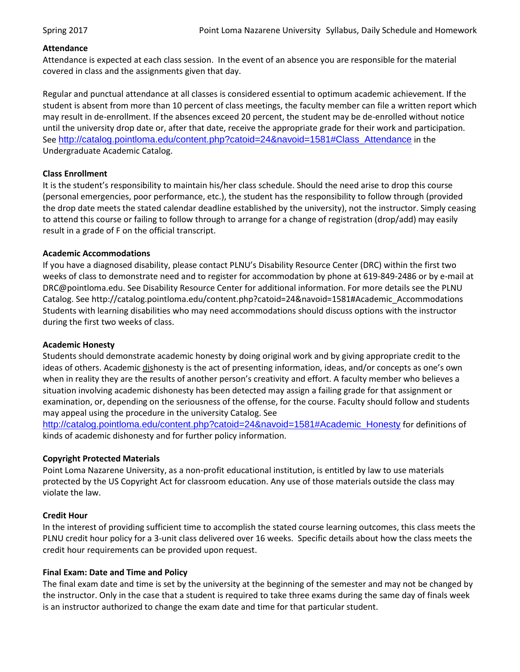#### **Attendance**

Attendance is expected at each class session. In the event of an absence you are responsible for the material covered in class and the assignments given that day.

Regular and punctual attendance at all classes is considered essential to optimum academic achievement. If the student is absent from more than 10 percent of class meetings, the faculty member can file a written report which may result in de-enrollment. If the absences exceed 20 percent, the student may be de-enrolled without notice until the university drop date or, after that date, receive the appropriate grade for their work and participation. See [http://catalog.pointloma.edu/content.php?catoid=24&navoid=1581#Class\\_Attendance](http://catalog.pointloma.edu/content.php?catoid=24&navoid=1581#Class_Attendance) in the Undergraduate Academic Catalog.

### **Class Enrollment**

It is the student's responsibility to maintain his/her class schedule. Should the need arise to drop this course (personal emergencies, poor performance, etc.), the student has the responsibility to follow through (provided the drop date meets the stated calendar deadline established by the university), not the instructor. Simply ceasing to attend this course or failing to follow through to arrange for a change of registration (drop/add) may easily result in a grade of F on the official transcript.

### **Academic Accommodations**

If you have a diagnosed disability, please contact PLNU's Disability Resource Center (DRC) within the first two weeks of class to demonstrate need and to register for accommodation by phone at 619-849-2486 or by e-mail at [DRC@pointloma.edu.](mailto:DRC@pointloma.edu) See [Disability Resource Center](http://www.pointloma.edu/experience/offices/administrative-offices/academic-advising-office/disability-resource-center) for additional information. For more details see the PLNU Catalog. Se[e http://catalog.pointloma.edu/content.php?catoid=24&navoid=1581#Academic\\_Accommodations](http://catalog.pointloma.edu/content.php?catoid=24&navoid=1581#Academic_Accommodations)  Students with learning disabilities who may need accommodations should discuss options with the instructor during the first two weeks of class.

### **Academic Honesty**

Students should demonstrate academic honesty by doing original work and by giving appropriate credit to the ideas of others. Academic dishonesty is the act of presenting information, ideas, and/or concepts as one's own when in reality they are the results of another person's creativity and effort. A faculty member who believes a situation involving academic dishonesty has been detected may assign a failing grade for that assignment or examination, or, depending on the seriousness of the offense, for the course. Faculty should follow and students may appeal using the procedure in the university Catalog. See

[http://catalog.pointloma.edu/content.php?catoid=24&navoid=1581#Academic\\_Honesty](http://catalog.pointloma.edu/content.php?catoid=24&navoid=1581#Academic_Honesty) for definitions of kinds of academic dishonesty and for further policy information.

### **Copyright Protected Materials**

Point Loma Nazarene University, as a non-profit educational institution, is entitled by law to use materials protected by the US Copyright Act for classroom education. Any use of those materials outside the class may violate the law.

### **Credit Hour**

In the interest of providing sufficient time to accomplish the stated course learning outcomes, this class meets the PLNU credit hour policy for a 3-unit class delivered over 16 weeks. Specific details about how the class meets the credit hour requirements can be provided upon request.

### **Final Exam: Date and Time and Policy**

The final exam date and time is set by the university at the beginning of the semester and may not be changed by the instructor. Only in the case that a student is required to take three exams during the same day of finals week is an instructor authorized to change the exam date and time for that particular student.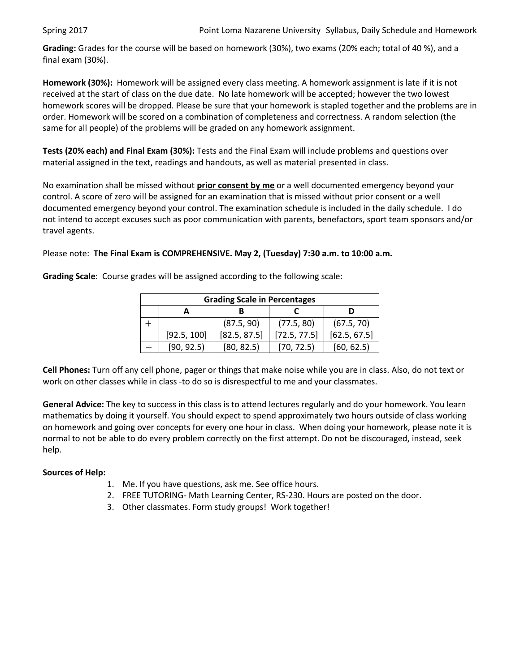**Grading:** Grades for the course will be based on homework (30%), two exams (20% each; total of 40 %), and a final exam (30%).

**Homework (30%):** Homework will be assigned every class meeting. A homework assignment is late if it is not received at the start of class on the due date. No late homework will be accepted; however the two lowest homework scores will be dropped. Please be sure that your homework is stapled together and the problems are in order. Homework will be scored on a combination of completeness and correctness. A random selection (the same for all people) of the problems will be graded on any homework assignment.

**Tests (20% each) and Final Exam (30%):** Tests and the Final Exam will include problems and questions over material assigned in the text, readings and handouts, as well as material presented in class.

No examination shall be missed without **prior consent by me** or a well documented emergency beyond your control. A score of zero will be assigned for an examination that is missed without prior consent or a well documented emergency beyond your control. The examination schedule is included in the daily schedule. I do not intend to accept excuses such as poor communication with parents, benefactors, sport team sponsors and/or travel agents.

## Please note: **The Final Exam is COMPREHENSIVE. May 2, (Tuesday) 7:30 a.m. to 10:00 a.m.**

| <b>Grading Scale in Percentages</b> |             |              |              |              |  |  |  |
|-------------------------------------|-------------|--------------|--------------|--------------|--|--|--|
|                                     |             |              |              |              |  |  |  |
|                                     |             | (87.5, 90)   | (77.5, 80)   | (67.5, 70)   |  |  |  |
|                                     | [92.5, 100] | [82.5, 87.5] | [72.5, 77.5] | [62.5, 67.5] |  |  |  |
|                                     | [90, 92.5]  | [80, 82.5]   | [70, 72.5]   | [60, 62.5]   |  |  |  |

**Grading Scale**: Course grades will be assigned according to the following scale:

**Cell Phones:** Turn off any cell phone, pager or things that make noise while you are in class. Also, do not text or work on other classes while in class -to do so is disrespectful to me and your classmates.

**General Advice:** The key to success in this class is to attend lectures regularly and do your homework. You learn mathematics by doing it yourself. You should expect to spend approximately two hours outside of class working on homework and going over concepts for every one hour in class. When doing your homework, please note it is normal to not be able to do every problem correctly on the first attempt. Do not be discouraged, instead, seek help.

## **Sources of Help:**

- 1. Me. If you have questions, ask me. See office hours.
- 2. FREE TUTORING- Math Learning Center, RS-230. Hours are posted on the door.
- 3. Other classmates. Form study groups! Work together!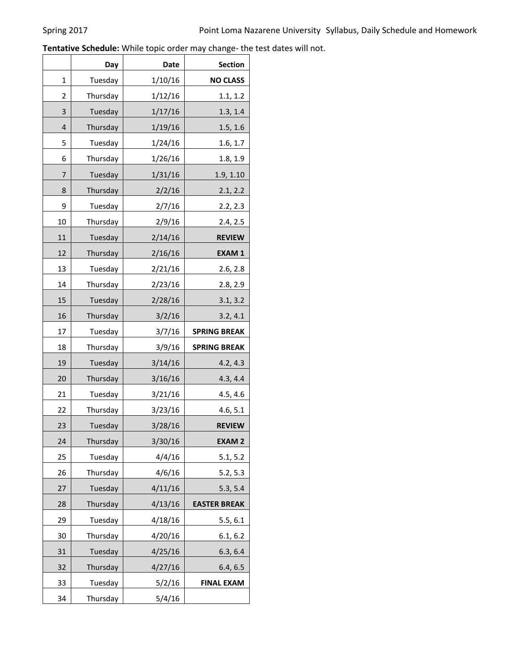**Tentative Schedule:** While topic order may change- the test dates will not.

|    | Day      | <b>Date</b> | <b>Section</b>      |
|----|----------|-------------|---------------------|
| 1  | Tuesday  | 1/10/16     | <b>NO CLASS</b>     |
| 2  | Thursday | 1/12/16     | 1.1, 1.2            |
| 3  | Tuesday  | 1/17/16     | 1.3, 1.4            |
| 4  | Thursday | 1/19/16     | 1.5, 1.6            |
| 5  | Tuesday  | 1/24/16     | 1.6, 1.7            |
| 6  | Thursday | 1/26/16     | 1.8, 1.9            |
| 7  | Tuesday  | 1/31/16     | 1.9, 1.10           |
| 8  | Thursday | 2/2/16      | 2.1, 2.2            |
| 9  | Tuesday  | 2/7/16      | 2.2, 2.3            |
| 10 | Thursday | 2/9/16      | 2.4, 2.5            |
| 11 | Tuesday  | 2/14/16     | <b>REVIEW</b>       |
| 12 | Thursday | 2/16/16     | <b>EXAM1</b>        |
| 13 | Tuesday  | 2/21/16     | 2.6, 2.8            |
| 14 | Thursday | 2/23/16     | 2.8, 2.9            |
| 15 | Tuesday  | 2/28/16     | 3.1, 3.2            |
| 16 | Thursday | 3/2/16      | 3.2, 4.1            |
| 17 | Tuesday  | 3/7/16      | <b>SPRING BREAK</b> |
| 18 | Thursday | 3/9/16      | <b>SPRING BREAK</b> |
| 19 | Tuesday  | 3/14/16     | 4.2, 4.3            |
| 20 | Thursday | 3/16/16     | 4.3, 4.4            |
| 21 | Tuesday  | 3/21/16     | 4.5, 4.6            |
| 22 | Thursday | 3/23/16     | 4.6, 5.1            |
| 23 | Tuesday  | 3/28/16     | <b>REVIEW</b>       |
| 24 | Thursday | 3/30/16     | <b>EXAM2</b>        |
| 25 | Tuesday  | 4/4/16      | 5.1, 5.2            |
| 26 | Thursday | 4/6/16      | 5.2, 5.3            |
| 27 | Tuesday  | 4/11/16     | 5.3, 5.4            |
| 28 | Thursday | 4/13/16     | <b>EASTER BREAK</b> |
| 29 | Tuesday  | 4/18/16     | 5.5, 6.1            |
| 30 | Thursday | 4/20/16     | 6.1, 6.2            |
| 31 | Tuesday  | 4/25/16     | 6.3, 6.4            |
| 32 | Thursday | 4/27/16     | 6.4, 6.5            |
| 33 | Tuesday  | 5/2/16      | <b>FINAL EXAM</b>   |
| 34 | Thursday | 5/4/16      |                     |